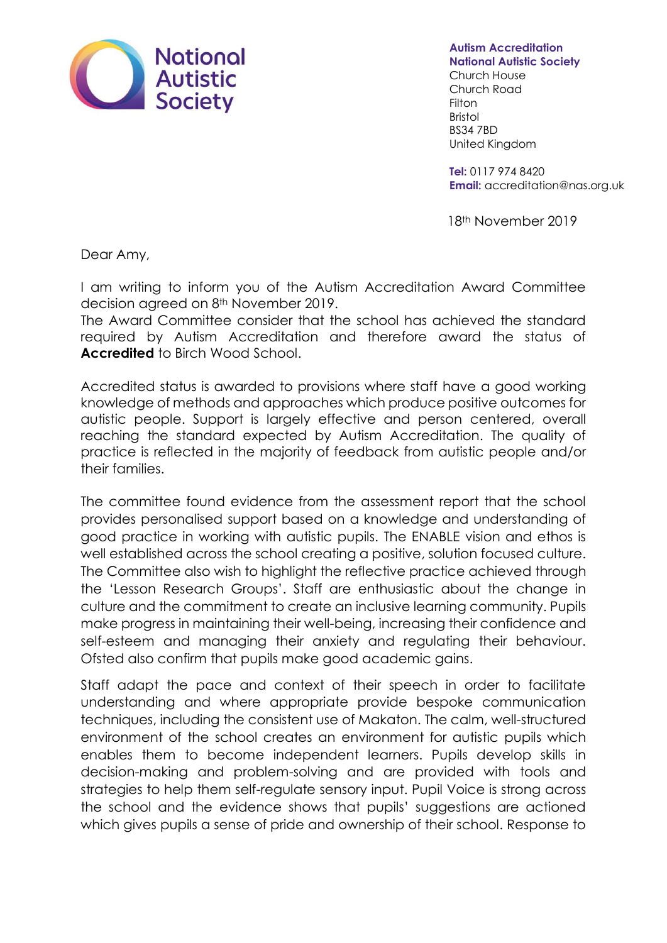

**Autism Accreditation National Autistic Society**

Church House Church Road Filton Bristol BS34 7BD United Kingdom

**Tel:** [0117](Tel:020%207833%202299) 974 8420 **Email:** accreditation@nas.org.uk

18th November 2019

Dear Amy,

I am writing to inform you of the Autism Accreditation Award Committee decision agreed on 8th November 2019.

The Award Committee consider that the school has achieved the standard required by Autism Accreditation and therefore award the status of **Accredited** to Birch Wood School.

Accredited status is awarded to provisions where staff have a good working knowledge of methods and approaches which produce positive outcomes for autistic people. Support is largely effective and person centered, overall reaching the standard expected by Autism Accreditation. The quality of practice is reflected in the majority of feedback from autistic people and/or their families.

The committee found evidence from the assessment report that the school provides personalised support based on a knowledge and understanding of good practice in working with autistic pupils. The ENABLE vision and ethos is well established across the school creating a positive, solution focused culture. The Committee also wish to highlight the reflective practice achieved through the 'Lesson Research Groups'. Staff are enthusiastic about the change in culture and the commitment to create an inclusive learning community. Pupils make progress in maintaining their well-being, increasing their confidence and self-esteem and managing their anxiety and regulating their behaviour. Ofsted also confirm that pupils make good academic gains.

Staff adapt the pace and context of their speech in order to facilitate understanding and where appropriate provide bespoke communication techniques, including the consistent use of Makaton. The calm, well-structured environment of the school creates an environment for autistic pupils which enables them to become independent learners. Pupils develop skills in decision-making and problem-solving and are provided with tools and strategies to help them self-regulate sensory input. Pupil Voice is strong across the school and the evidence shows that pupils' suggestions are actioned which gives pupils a sense of pride and ownership of their school. Response to